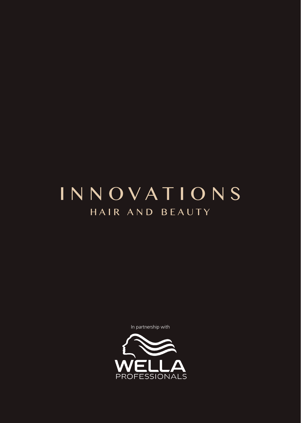# INNOVATIONS HAIR AND BEAUTY

In partnership with

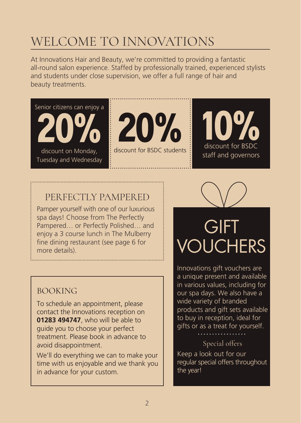## WELCOME TO INNOVATIONS

At Innovations Hair and Beauty, we're committed to providing a fantastic all-round salon experience. Staffed by professionally trained, experienced stylists and students under close supervision, we offer a full range of hair and beauty treatments.

Senior citizens can enjoy a 20% discount on Monday, Tuesday and Wednesday



discount for BSDC students



### PER FECTLY PAMPERED

Pamper yourself with one of our luxurious spa days! Choose from The Perfectly Pampered… or Perfectly Polished… and enjoy a 3 course lunch in The Mulberry fine dining restaurant (see page 6 for more details).

### BOOKING

To schedule an appointment, please contact the Innovations reception on **01283 494747**, who will be able to guide you to choose your perfect treatment. Please book in advance to avoid disappointment.

We'll do everything we can to make your time with us enjoyable and we thank you in advance for your custom.

# **GIFT** VOUCHERS

Innovations gift vouchers are a unique present and available in various values, including for our spa days. We also have a wide variety of branded products and gift sets available to buy in reception, ideal for gifts or as a treat for yourself.

### Special offers

Keep a look out for our regular special offers throughout the year!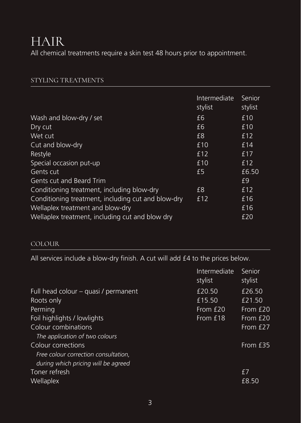## HAIR

All chemical treatments require a skin test 48 hours prior to appointment.

### STYLING TREATMENTS

|                                                    | Intermediate<br>stylist | Senior<br>stylist |
|----------------------------------------------------|-------------------------|-------------------|
| Wash and blow-dry / set                            | £6                      | £10               |
| Dry cut                                            | £6                      | £10               |
| Wet cut                                            | £8                      | £12               |
| Cut and blow-dry                                   | £10                     | £14               |
| Restyle                                            | £12                     | £17               |
| Special occasion put-up                            | £10                     | £12               |
| Gents cut                                          | £5                      | £6.50             |
| Gents cut and Beard Trim                           |                         | £9                |
| Conditioning treatment, including blow-dry         | £8                      | £12               |
| Conditioning treatment, including cut and blow-dry | £12                     | £16               |
| Wellaplex treatment and blow-dry                   |                         | £16               |
| Wellaplex treatment, including cut and blow dry    |                         | £20               |

### COLOUR

All services include a blow-dry finish. A cut will add £4 to the prices below.

| Intermediate<br>stylist | Senior<br>stylist |
|-------------------------|-------------------|
| £20.50                  | £26.50            |
| £15.50                  | £21.50            |
| From £20                | From £20          |
| From £18                | From £20          |
|                         | From £27          |
|                         |                   |
|                         | From £35          |
|                         |                   |
|                         |                   |
|                         | f7                |
|                         | £8.50             |
|                         |                   |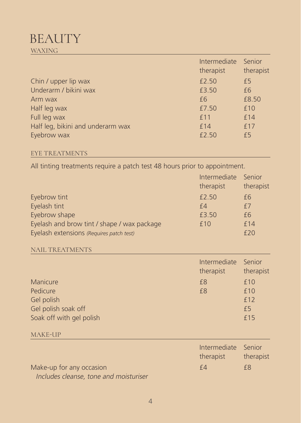## **BEAUTY** WAXING

|                                   | Intermediate<br>therapist | Senior<br>therapist |
|-----------------------------------|---------------------------|---------------------|
| Chin / upper lip wax              | £2.50                     | £5                  |
| Underarm / bikini wax             | £3.50                     | £6                  |
| Arm wax                           | £6                        | £8.50               |
| Half leg wax                      | £7.50                     | £10<br>£14          |
| Full leg wax                      | £11                       |                     |
| Half leg, bikini and underarm wax | £14                       | f17                 |
| Eyebrow wax                       | £2.50                     | f <sub>5</sub>      |

### EYE TREATMENTS

All tinting treatments require a patch test 48 hours prior to appointment.

| Eyebrow tint<br>Eyelash tint<br>Eyebrow shape<br>Eyelash and brow tint / shape / wax package<br>Eyelash extensions (Requires patch test) | Intermediate<br>therapist<br>£2.50<br>f4<br>£3.50<br>£10 | Senior<br>therapist<br>f <sub>6</sub><br>£7<br>£6<br>£14<br>£20 |
|------------------------------------------------------------------------------------------------------------------------------------------|----------------------------------------------------------|-----------------------------------------------------------------|
| <b>NAIL TREATMENTS</b>                                                                                                                   |                                                          |                                                                 |
| Manicure                                                                                                                                 | Intermediate<br>therapist<br>f8                          | Senior<br>therapist<br>f10                                      |
| Pedicure                                                                                                                                 | £8                                                       | £10                                                             |
| Gel polish                                                                                                                               |                                                          | £12                                                             |
| Gel polish soak off                                                                                                                      |                                                          | £5                                                              |
| Soak off with gel polish                                                                                                                 |                                                          | £15                                                             |
| MAKE-UP                                                                                                                                  |                                                          |                                                                 |
| Make-up for any occasion                                                                                                                 | Intermediate<br>therapist<br>f4                          | Senior<br>therapist<br>£8                                       |
|                                                                                                                                          |                                                          |                                                                 |

*I*ncludes cleanse, tone and moisturiser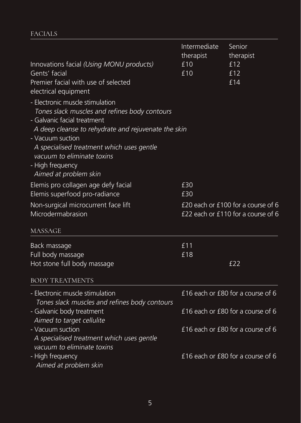### FACIALS

|                                                                                                                                                                                                                                                                                                                    | Intermediate<br>therapist                                                | Senior<br>therapist               |
|--------------------------------------------------------------------------------------------------------------------------------------------------------------------------------------------------------------------------------------------------------------------------------------------------------------------|--------------------------------------------------------------------------|-----------------------------------|
| Innovations facial (Using MONU products)<br>Gents' facial<br>Premier facial with use of selected<br>electrical equipment                                                                                                                                                                                           | £10<br>£10                                                               | £12<br>£12<br>£14                 |
| - Electronic muscle stimulation<br>Tones slack muscles and refines body contours<br>- Galvanic facial treatment<br>A deep cleanse to rehydrate and rejuvenate the skin<br>- Vacuum suction<br>A specialised treatment which uses gentle<br>vacuum to eliminate toxins<br>- High frequency<br>Aimed at problem skin |                                                                          |                                   |
| Elemis pro collagen age defy facial<br>Elemis superfood pro-radiance                                                                                                                                                                                                                                               | £30<br>£30                                                               |                                   |
| Non-surgical microcurrent face lift<br>Microdermabrasion                                                                                                                                                                                                                                                           | £20 each or £100 for a course of 6<br>£22 each or £110 for a course of 6 |                                   |
| MASSAGE                                                                                                                                                                                                                                                                                                            |                                                                          |                                   |
| Back massage<br>Full body massage<br>Hot stone full body massage                                                                                                                                                                                                                                                   | £11<br>£18                                                               | £22                               |
| <b>BODY TREATMENTS</b>                                                                                                                                                                                                                                                                                             |                                                                          |                                   |
| - Electronic muscle stimulation<br>Tones slack muscles and refines body contours                                                                                                                                                                                                                                   |                                                                          | £16 each or £80 for a course of 6 |
| - Galvanic body treatment<br>Aimed to target cellulite                                                                                                                                                                                                                                                             |                                                                          | £16 each or £80 for a course of 6 |
| - Vacuum suction<br>A specialised treatment which uses gentle<br>vacuum to eliminate toxins                                                                                                                                                                                                                        |                                                                          | £16 each or £80 for a course of 6 |
| - High frequency<br>Aimed at problem skin                                                                                                                                                                                                                                                                          |                                                                          | £16 each or £80 for a course of 6 |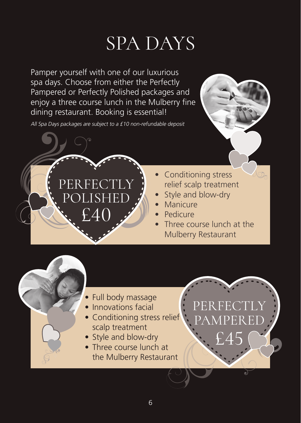# SPA DAYS

Pamper yourself with one of our luxurious spa days. Choose from either the Perfectly Pampered or Perfectly Polished packages and enjoy a three course lunch in the Mulberry fine dining restaurant. Booking is essential!

All Spa Days packages are subject to a £10 non-refundable deposit

PERFECTLY POLISHED

f 40



- Style and blow-dry
- **Manicure**
- **Pedicure**
- Three course lunch at the Mulberry Restaurant

- Full body massage
- Innovations facial
- Conditioning stress relief scalp treatment
- Style and blow-dry
- Three course lunch at the Mulberry Restaurant

PER PAMPERED

£45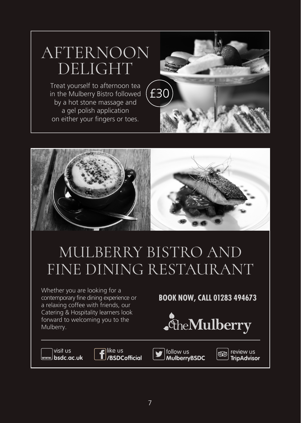# AFTERNOON DELIGHT

Treat yourself to afternoon tea in the Mulberry Bistro followed by a hot stone massage and a gel polish application on either your fingers or toes.





# MULBERRY BISTRO AND FINE DINING RESTAURANT

Whether you are looking for a contemporary fine dining experience or a relaxing coffee with friends, our Catering & Hospitality learners look forward to welcoming you to the Mulberry.

### **BOOK NOW, CALL 01283 494673**



visit us www.<sup>)</sup> bsdc.ac.uk alike us /BSDCofficial



review us **TripAdvisor**